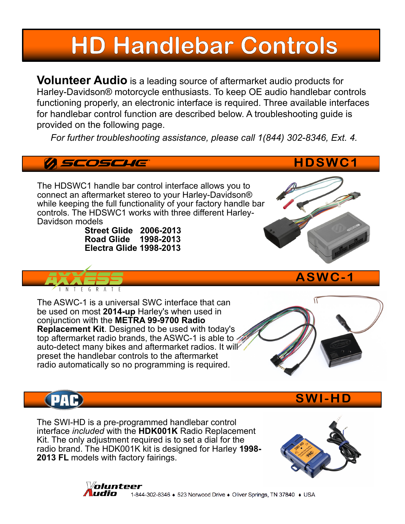# **HD Handlebar Controls**

**Volunteer Audio** is a leading source of aftermarket audio products for Harley-Davidson® motorcycle enthusiasts. To keep OE audio handlebar controls functioning properly, an electronic interface is required. Three available interfaces for handlebar control function are described below. A troubleshooting guide is provided on the following page.

*For further troubleshooting assistance, please call 1(844) 302-8346, Ext. 4.*

### *A SCOSCHE*

The HDSWC1 handle bar control interface allows you to connect an aftermarket stereo to your Harley-Davidson® while keeping the full functionality of your factory handle bar controls. The HDSWC1 works with three different Harley-Davidson models

> **Street Glide 2006-2013 Road Glide 1998-2013 Electra Glide 1998-2013**



The ASWC-1 is a universal SWC interface that can be used on most **2014-up** Harley's when used in conjunction with the **METRA 99-9700 Radio Replacement Kit**. Designed to be used with today's top aftermarket radio brands, the ASWC-1 is able to auto-detect many bikes and aftermarket radios. It will preset the handlebar controls to the aftermarket radio automatically so no programming is required.



**ASWC -1**

**HDSWC1**

The SWI-HD is a pre-programmed handlebar control interface *included* with the **HDK001K** Radio Replacement Kit. The only adjustment required is to set a dial for the radio brand. The HDK001K kit is designed for Harley **1998- 2013 FL** models with factory fairings.



**SW I -HD**